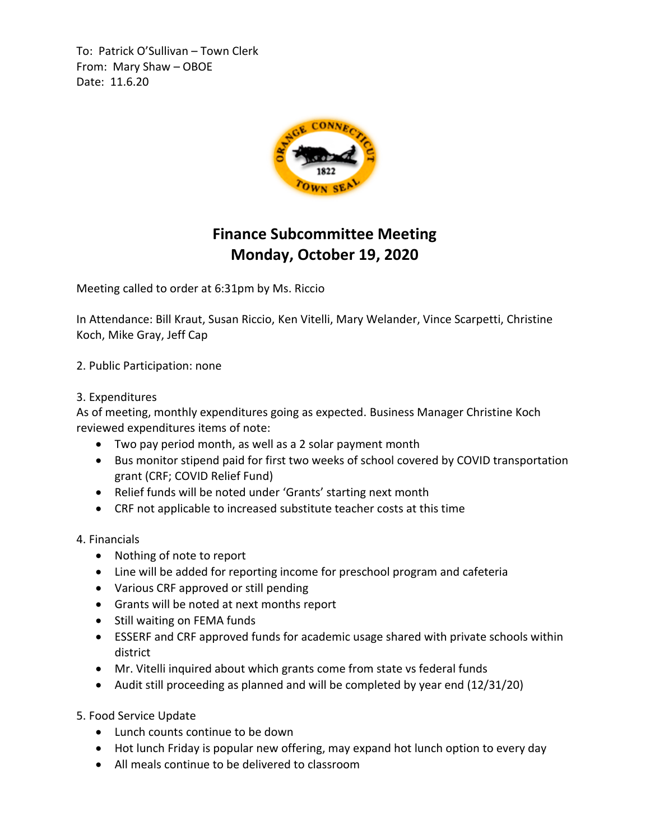To: Patrick O'Sullivan – Town Clerk From: Mary Shaw – OBOE Date: 11.6.20



## **Finance Subcommittee Meeting Monday, October 19, 2020**

Meeting called to order at 6:31pm by Ms. Riccio

In Attendance: Bill Kraut, Susan Riccio, Ken Vitelli, Mary Welander, Vince Scarpetti, Christine Koch, Mike Gray, Jeff Cap

2. Public Participation: none

## 3. Expenditures

As of meeting, monthly expenditures going as expected. Business Manager Christine Koch reviewed expenditures items of note:

- Two pay period month, as well as a 2 solar payment month
- Bus monitor stipend paid for first two weeks of school covered by COVID transportation grant (CRF; COVID Relief Fund)
- Relief funds will be noted under 'Grants' starting next month
- CRF not applicable to increased substitute teacher costs at this time

## 4. Financials

- Nothing of note to report
- Line will be added for reporting income for preschool program and cafeteria
- Various CRF approved or still pending
- Grants will be noted at next months report
- Still waiting on FEMA funds
- ESSERF and CRF approved funds for academic usage shared with private schools within district
- Mr. Vitelli inquired about which grants come from state vs federal funds
- Audit still proceeding as planned and will be completed by year end (12/31/20)

5. Food Service Update

- Lunch counts continue to be down
- Hot lunch Friday is popular new offering, may expand hot lunch option to every day
- All meals continue to be delivered to classroom